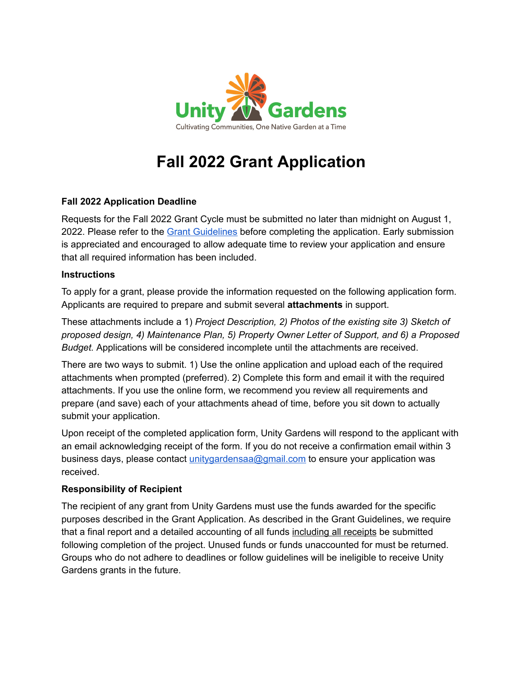

# **Fall 2022 Grant Application**

## **Fall 2022 Application Deadline**

Requests for the Fall 2022 Grant Cycle must be submitted no later than midnight on August 1, 2022. Please refer to the Grant [Guidelines](https://unitygardens.org/site/wp-content/uploads/2022/06/Unity-Gardens-Fall-2022-Grant-Guidelines.pdf) before completing the application. Early submission is appreciated and encouraged to allow adequate time to review your application and ensure that all required information has been included.

### **Instructions**

To apply for a grant, please provide the information requested on the following application form. Applicants are required to prepare and submit several **attachments** in support.

These attachments include a 1) *Project Description, 2) Photos of the existing site 3) Sketch of proposed design, 4) Maintenance Plan, 5) Property Owner Letter of Support, and 6) a Proposed Budget.* Applications will be considered incomplete until the attachments are received.

There are two ways to submit. 1) Use the online application and upload each of the required attachments when prompted (preferred). 2) Complete this form and email it with the required attachments. If you use the online form, we recommend you review all requirements and prepare (and save) each of your attachments ahead of time, before you sit down to actually submit your application.

Upon receipt of the completed application form, Unity Gardens will respond to the applicant with an email acknowledging receipt of the form. If you do not receive a confirmation email within 3 business days, please contact [unitygardensaa@gmail.com](mailto:unitygardensaa@gmail.com) to ensure your application was received.

## **Responsibility of Recipient**

The recipient of any grant from Unity Gardens must use the funds awarded for the specific purposes described in the Grant Application. As described in the Grant Guidelines, we require that a final report and a detailed accounting of all funds including all receipts be submitted following completion of the project. Unused funds or funds unaccounted for must be returned. Groups who do not adhere to deadlines or follow guidelines will be ineligible to receive Unity Gardens grants in the future.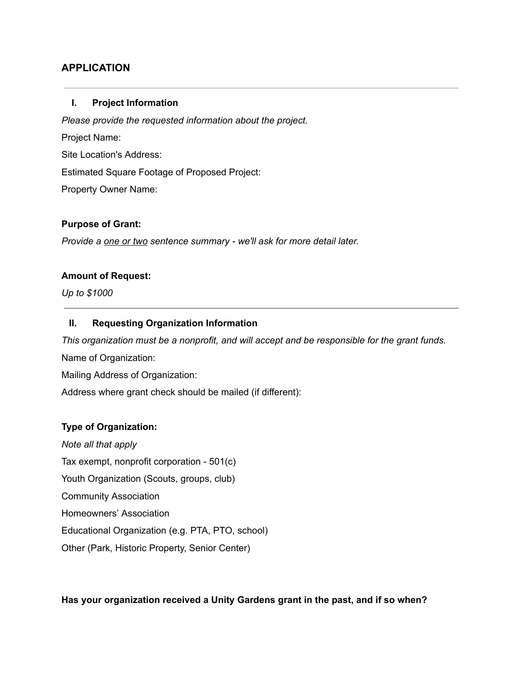## **APPLICATION**

#### **I. Project Information**

*Please provide the requested information about the project.* Project Name: Site Location's Address: Estimated Square Footage of Proposed Project: Property Owner Name:

#### **Purpose of Grant:**

*Provide a one or two sentence summary - we'll ask for more detail later.*

#### **Amount of Request:**

*Up to \$1000*

#### **II. Requesting Organization Information**

*This organization must be a nonprofit, and will accept and be responsible for the grant funds.* Name of Organization: Mailing Address of Organization:

Address where grant check should be mailed (if different):

#### **Type of Organization:**

*Note all that apply* Tax exempt, nonprofit corporation - 501(c) Youth Organization (Scouts, groups, club) Community Association Homeowners' Association Educational Organization (e.g. PTA, PTO, school) Other (Park, Historic Property, Senior Center)

#### **Has your organization received a Unity Gardens grant in the past, and if so when?**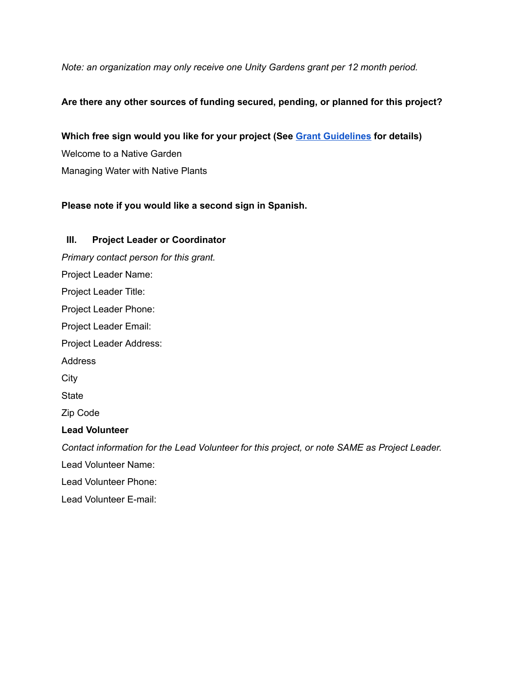*Note: an organization may only receive one Unity Gardens grant per 12 month period.*

## **Are there any other sources of funding secured, pending, or planned for this project?**

**Which free sign would you like for your project (See Grant [Guidelines](https://unitygardens.org/site/wp-content/uploads/2022/06/Unity-Gardens-Fall-2022-Grant-Guidelines.pdf) for details)** Welcome to a Native Garden Managing Water with Native Plants

## **Please note if you would like a second sign in Spanish.**

## **III. Project Leader or Coordinator** *Primary contact person for this grant.* Project Leader Name: Project Leader Title: Project Leader Phone: Project Leader Email: Project Leader Address: Address **City State** Zip Code **Lead Volunteer** *Contact information for the Lead Volunteer for this project, or note SAME as Project Leader.* Lead Volunteer Name: Lead Volunteer Phone: Lead Volunteer E-mail: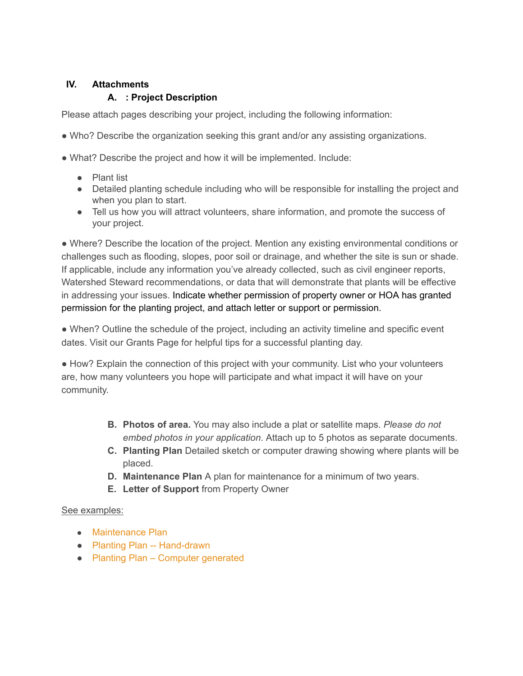## **IV. Attachments**

## **A. : Project Description**

Please attach pages describing your project, including the following information:

- Who? Describe the organization seeking this grant and/or any assisting organizations.
- What? Describe the project and how it will be implemented. Include:
	- Plant list
	- Detailed planting schedule including who will be responsible for installing the project and when you plan to start.
	- Tell us how you will attract volunteers, share information, and promote the success of your project.

● Where? Describe the location of the project. Mention any existing environmental conditions or challenges such as flooding, slopes, poor soil or drainage, and whether the site is sun or shade. If applicable, include any information you've already collected, such as civil engineer reports, Watershed Steward recommendations, or data that will demonstrate that plants will be effective in addressing your issues. Indicate whether permission of property owner or HOA has granted permission for the planting project, and attach letter or support or permission.

• When? Outline the schedule of the project, including an activity timeline and specific event dates. Visit our Grants Page for helpful tips for a successful planting day.

● How? Explain the connection of this project with your community. List who your volunteers are, how many volunteers you hope will participate and what impact it will have on your community.

- **B. Photos of area.** You may also include a plat or satellite maps. *Please do not embed photos in your application*. Attach up to 5 photos as separate documents.
- **C. Planting Plan** Detailed sketch or computer drawing showing where plants will be placed.
- **D. Maintenance Plan** A plan for maintenance for a minimum of two years.
- **E. Letter of Support** from Property Owner

## See examples:

- [Maintenance](https://unitygardens.org/site/wp-content/uploads/2020/09/Maintenance-Plan.pdf) Plan
- Planting Plan -- [Hand-drawn](https://unitygardens.org/site/wp-content/uploads/2020/09/WSA-Site-Plan-1.pdf)
- Planting Plan Computer [generated](https://unitygardens.org/site/wp-content/uploads/2020/09/unity-garden-plan-Serene-Planting-2020-1.pdf)